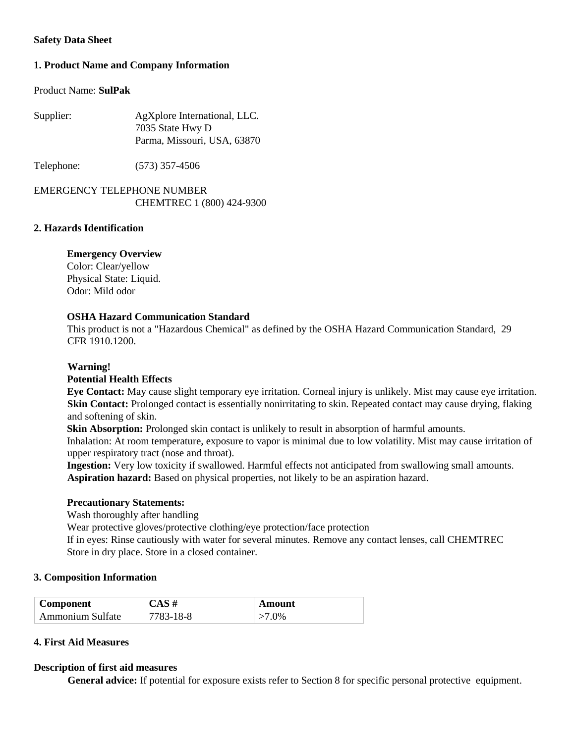### **Safety Data Sheet**

# **1. Product Name and Company Information**

#### Product Name: **SulPak**

| Supplier: | AgXplore International, LLC. |
|-----------|------------------------------|
|           | 7035 State Hwy D             |
|           | Parma, Missouri, USA, 63870  |
|           |                              |

Telephone: (573) 357-4506

# EMERGENCY TELEPHONE NUMBER CHEMTREC 1 (800) 424-9300

### **2. Hazards Identification**

# **Emergency Overview**

Color: Clear/yellow Physical State: Liquid. Odor: Mild odor

# **OSHA Hazard Communication Standard**

This product is not a "Hazardous Chemical" as defined by the OSHA Hazard Communication Standard, 29 CFR 1910.1200.

### **Warning!**

### **Potential Health Effects**

**Eye Contact:** May cause slight temporary eye irritation. Corneal injury is unlikely. Mist may cause eye irritation. **Skin Contact:** Prolonged contact is essentially nonirritating to skin. Repeated contact may cause drying, flaking and softening of skin.

**Skin Absorption:** Prolonged skin contact is unlikely to result in absorption of harmful amounts.

Inhalation: At room temperature, exposure to vapor is minimal due to low volatility. Mist may cause irritation of upper respiratory tract (nose and throat).

**Ingestion:** Very low toxicity if swallowed. Harmful effects not anticipated from swallowing small amounts. **Aspiration hazard:** Based on physical properties, not likely to be an aspiration hazard.

### **Precautionary Statements:**

Wash thoroughly after handling

Wear protective gloves/protective clothing/eye protection/face protection

If in eyes: Rinse cautiously with water for several minutes. Remove any contact lenses, call CHEMTREC Store in dry place. Store in a closed container.

### **3. Composition Information**

| <b>Component</b> | $CAS$ #   | Amount |
|------------------|-----------|--------|
| Ammonium Sulfate | 7783-18-8 | $0\%$  |

### **4. First Aid Measures**

### **Description of first aid measures**

**General advice:** If potential for exposure exists refer to Section 8 for specific personal protective equipment.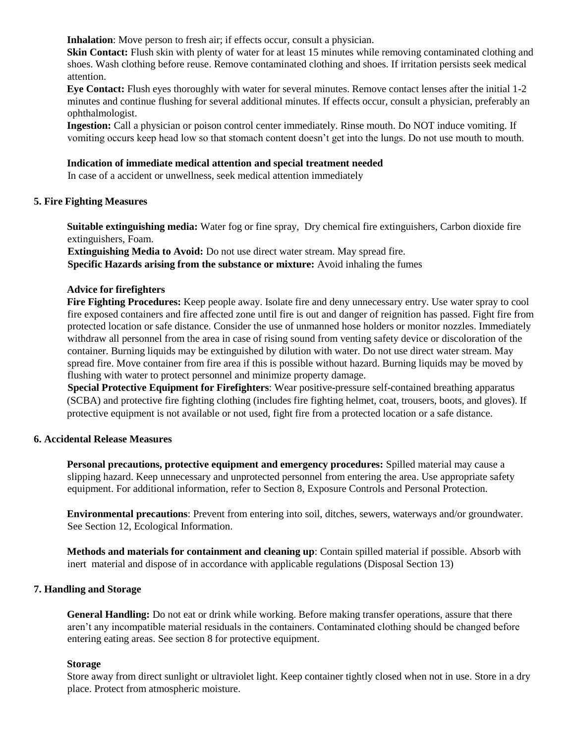**Inhalation**: Move person to fresh air; if effects occur, consult a physician.

**Skin Contact:** Flush skin with plenty of water for at least 15 minutes while removing contaminated clothing and shoes. Wash clothing before reuse. Remove contaminated clothing and shoes. If irritation persists seek medical attention.

**Eye Contact:** Flush eyes thoroughly with water for several minutes. Remove contact lenses after the initial 1-2 minutes and continue flushing for several additional minutes. If effects occur, consult a physician, preferably an ophthalmologist.

**Ingestion:** Call a physician or poison control center immediately. Rinse mouth. Do NOT induce vomiting. If vomiting occurs keep head low so that stomach content doesn't get into the lungs. Do not use mouth to mouth.

#### **Indication of immediate medical attention and special treatment needed**

In case of a accident or unwellness, seek medical attention immediately

### **5. Fire Fighting Measures**

**Suitable extinguishing media:** Water fog or fine spray, Dry chemical fire extinguishers, Carbon dioxide fire extinguishers, Foam.

**Extinguishing Media to Avoid:** Do not use direct water stream. May spread fire. **Specific Hazards arising from the substance or mixture:** Avoid inhaling the fumes

#### **Advice for firefighters**

**Fire Fighting Procedures:** Keep people away. Isolate fire and deny unnecessary entry. Use water spray to cool fire exposed containers and fire affected zone until fire is out and danger of reignition has passed. Fight fire from protected location or safe distance. Consider the use of unmanned hose holders or monitor nozzles. Immediately withdraw all personnel from the area in case of rising sound from venting safety device or discoloration of the container. Burning liquids may be extinguished by dilution with water. Do not use direct water stream. May spread fire. Move container from fire area if this is possible without hazard. Burning liquids may be moved by flushing with water to protect personnel and minimize property damage.

**Special Protective Equipment for Firefighters**: Wear positive-pressure self-contained breathing apparatus (SCBA) and protective fire fighting clothing (includes fire fighting helmet, coat, trousers, boots, and gloves). If protective equipment is not available or not used, fight fire from a protected location or a safe distance.

#### **6. Accidental Release Measures**

**Personal precautions, protective equipment and emergency procedures:** Spilled material may cause a slipping hazard. Keep unnecessary and unprotected personnel from entering the area. Use appropriate safety equipment. For additional information, refer to Section 8, Exposure Controls and Personal Protection.

**Environmental precautions**: Prevent from entering into soil, ditches, sewers, waterways and/or groundwater. See Section 12, Ecological Information.

**Methods and materials for containment and cleaning up**: Contain spilled material if possible. Absorb with inert material and dispose of in accordance with applicable regulations (Disposal Section 13)

### **7. Handling and Storage**

**General Handling:** Do not eat or drink while working. Before making transfer operations, assure that there aren't any incompatible material residuals in the containers. Contaminated clothing should be changed before entering eating areas. See section 8 for protective equipment.

#### **Storage**

Store away from direct sunlight or ultraviolet light. Keep container tightly closed when not in use. Store in a dry place. Protect from atmospheric moisture.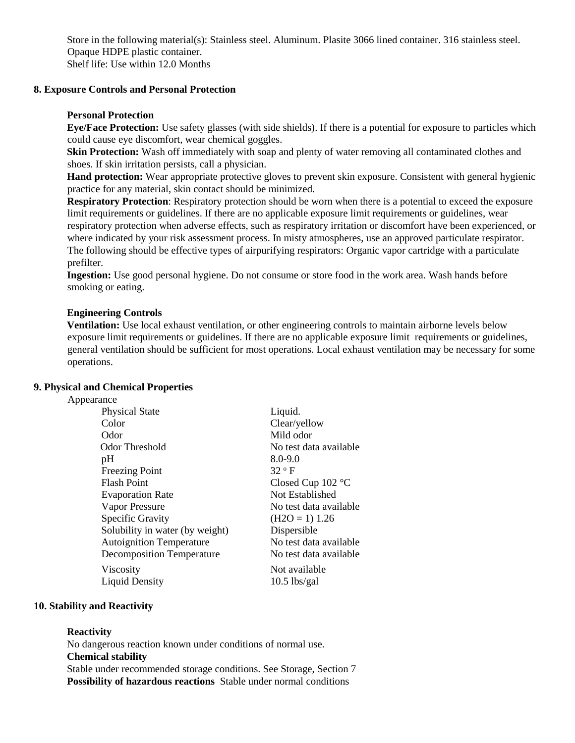Store in the following material(s): Stainless steel. Aluminum. Plasite 3066 lined container. 316 stainless steel. Opaque HDPE plastic container. Shelf life: Use within 12.0 Months

#### **8. Exposure Controls and Personal Protection**

#### **Personal Protection**

**Eye/Face Protection:** Use safety glasses (with side shields). If there is a potential for exposure to particles which could cause eye discomfort, wear chemical goggles.

**Skin Protection:** Wash off immediately with soap and plenty of water removing all contaminated clothes and shoes. If skin irritation persists, call a physician.

**Hand protection:** Wear appropriate protective gloves to prevent skin exposure. Consistent with general hygienic practice for any material, skin contact should be minimized.

**Respiratory Protection**: Respiratory protection should be worn when there is a potential to exceed the exposure limit requirements or guidelines. If there are no applicable exposure limit requirements or guidelines, wear respiratory protection when adverse effects, such as respiratory irritation or discomfort have been experienced, or where indicated by your risk assessment process. In misty atmospheres, use an approved particulate respirator. The following should be effective types of airpurifying respirators: Organic vapor cartridge with a particulate prefilter.

**Ingestion:** Use good personal hygiene. Do not consume or store food in the work area. Wash hands before smoking or eating.

#### **Engineering Controls**

**Ventilation:** Use local exhaust ventilation, or other engineering controls to maintain airborne levels below exposure limit requirements or guidelines. If there are no applicable exposure limit requirements or guidelines, general ventilation should be sufficient for most operations. Local exhaust ventilation may be necessary for some operations.

#### **9. Physical and Chemical Properties**

#### Appearance

| <b>Physical State</b>            | Liquid.                |
|----------------------------------|------------------------|
| Color                            | Clear/yellow           |
| Odor                             | Mild odor              |
| Odor Threshold                   | No test data available |
| pH                               | $8.0 - 9.0$            |
| <b>Freezing Point</b>            | 32 ° F                 |
| <b>Flash Point</b>               | Closed Cup $102$ °C    |
| <b>Evaporation Rate</b>          | Not Established        |
| Vapor Pressure                   | No test data available |
| Specific Gravity                 | $(H2O = 1)$ 1.26       |
| Solubility in water (by weight)  | Dispersible            |
| <b>Autoignition Temperature</b>  | No test data available |
| <b>Decomposition Temperature</b> | No test data available |
| Viscosity                        | Not available          |
| <b>Liquid Density</b>            | $10.5$ lbs/gal         |
|                                  |                        |

### **10. Stability and Reactivity**

#### **Reactivity**

No dangerous reaction known under conditions of normal use. **Chemical stability**  Stable under recommended storage conditions. See Storage, Section 7

**Possibility of hazardous reactions** Stable under normal conditions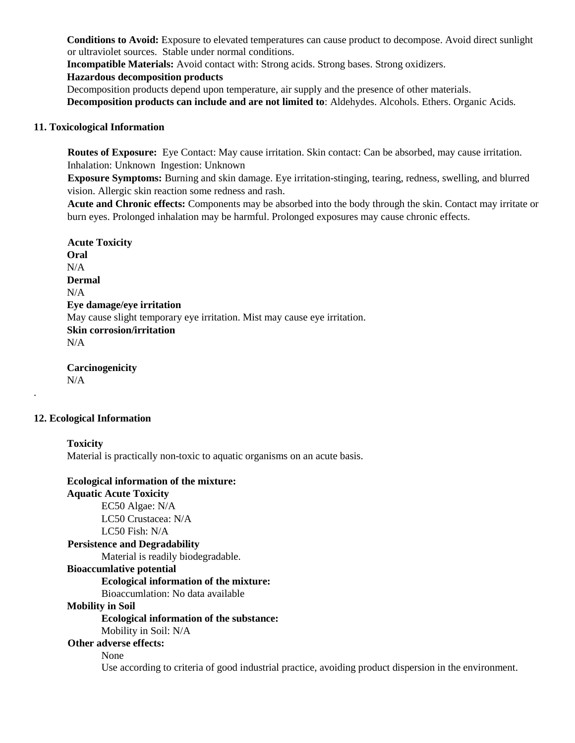**Conditions to Avoid:** Exposure to elevated temperatures can cause product to decompose. Avoid direct sunlight or ultraviolet sources. Stable under normal conditions.

**Incompatible Materials:** Avoid contact with: Strong acids. Strong bases. Strong oxidizers.

### **Hazardous decomposition products**

Decomposition products depend upon temperature, air supply and the presence of other materials. **Decomposition products can include and are not limited to**: Aldehydes. Alcohols. Ethers. Organic Acids.

## **11. Toxicological Information**

**Routes of Exposure:** Eye Contact: May cause irritation. Skin contact: Can be absorbed, may cause irritation. Inhalation: Unknown Ingestion: Unknown

**Exposure Symptoms:** Burning and skin damage. Eye irritation-stinging, tearing, redness, swelling, and blurred vision. Allergic skin reaction some redness and rash.

**Acute and Chronic effects:** Components may be absorbed into the body through the skin. Contact may irritate or burn eyes. Prolonged inhalation may be harmful. Prolonged exposures may cause chronic effects.

**Acute Toxicity Oral**  N/A **Dermal**   $N/A$ **Eye damage/eye irritation**  May cause slight temporary eye irritation. Mist may cause eye irritation. **Skin corrosion/irritation**  N/A

**Carcinogenicity**  N/A

### **12. Ecological Information**

### **Toxicity**

.

Material is practically non-toxic to aquatic organisms on an acute basis.

# **Ecological information of the mixture:**

**Aquatic Acute Toxicity** EC50 Algae: N/A LC50 Crustacea: N/A LC50 Fish: N/A

#### **Persistence and Degradability**

Material is readily biodegradable.

#### **Bioaccumlative potential**

#### **Ecological information of the mixture:**

Bioaccumlation: No data available

# **Mobility in Soil**

# **Ecological information of the substance:**

Mobility in Soil: N/A

# **Other adverse effects:**

None

Use according to criteria of good industrial practice, avoiding product dispersion in the environment.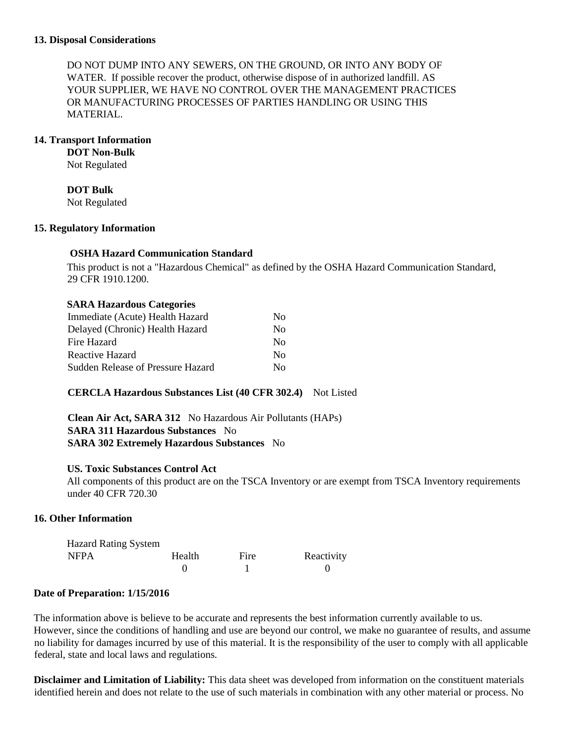DO NOT DUMP INTO ANY SEWERS, ON THE GROUND, OR INTO ANY BODY OF WATER. If possible recover the product, otherwise dispose of in authorized landfill. AS YOUR SUPPLIER, WE HAVE NO CONTROL OVER THE MANAGEMENT PRACTICES OR MANUFACTURING PROCESSES OF PARTIES HANDLING OR USING THIS MATERIAL.

# **14. Transport Information**

**DOT Non-Bulk**  Not Regulated

**DOT Bulk** 

Not Regulated

### **15. Regulatory Information**

# **OSHA Hazard Communication Standard**

This product is not a "Hazardous Chemical" as defined by the OSHA Hazard Communication Standard, 29 CFR 1910.1200.

# **SARA Hazardous Categories**

| Immediate (Acute) Health Hazard   | No.            |
|-----------------------------------|----------------|
| Delayed (Chronic) Health Hazard   | $\overline{N}$ |
| Fire Hazard                       | No.            |
| Reactive Hazard                   | No.            |
| Sudden Release of Pressure Hazard | Nο             |

# **CERCLA Hazardous Substances List (40 CFR 302.4)** Not Listed

**Clean Air Act, SARA 312** No Hazardous Air Pollutants (HAPs) **SARA 311 Hazardous Substances** No **SARA 302 Extremely Hazardous Substances** No

### **US. Toxic Substances Control Act**

All components of this product are on the TSCA Inventory or are exempt from TSCA Inventory requirements under 40 CFR 720.30

# **16. Other Information**

| <b>Hazard Rating System</b> |        |      |            |
|-----------------------------|--------|------|------------|
| <b>NFPA</b>                 | Health | Fire | Reactivity |
|                             |        |      |            |

### **Date of Preparation: 1/15/2016**

The information above is believe to be accurate and represents the best information currently available to us. However, since the conditions of handling and use are beyond our control, we make no guarantee of results, and assume no liability for damages incurred by use of this material. It is the responsibility of the user to comply with all applicable federal, state and local laws and regulations.

**Disclaimer and Limitation of Liability:** This data sheet was developed from information on the constituent materials identified herein and does not relate to the use of such materials in combination with any other material or process. No